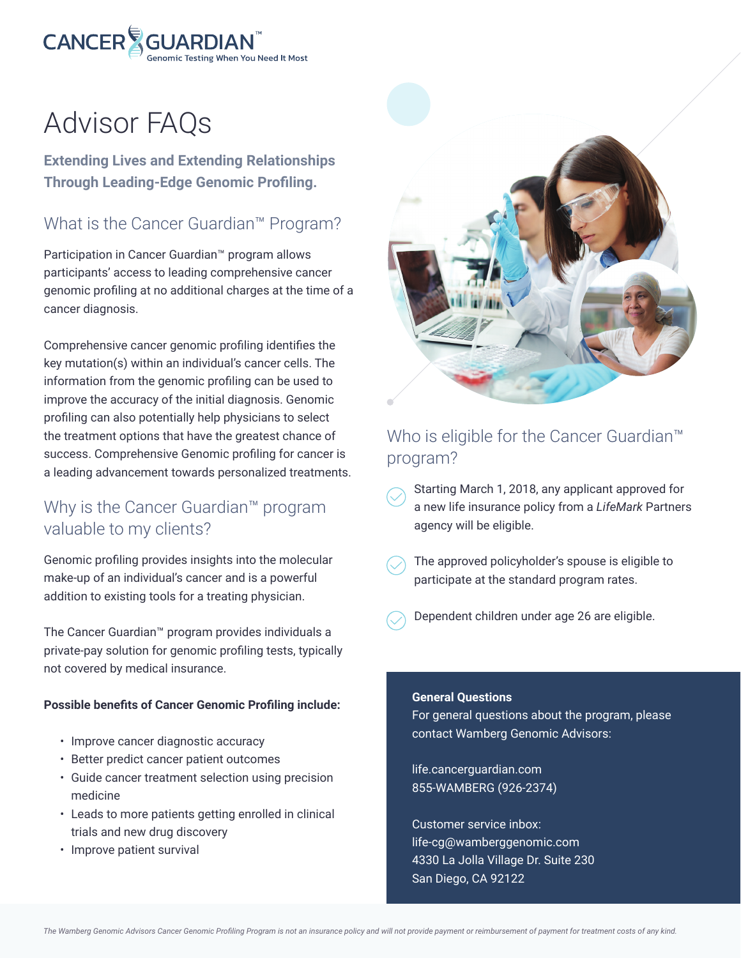

# Advisor FAQs

**Extending Lives and Extending Relationships Through Leading-Edge Genomic Profiling.**

# What is the Cancer Guardian™ Program?

Participation in Cancer Guardian™ program allows participants' access to leading comprehensive cancer genomic profiling at no additional charges at the time of a cancer diagnosis.

Comprehensive cancer genomic profiling identifies the key mutation(s) within an individual's cancer cells. The information from the genomic profiling can be used to improve the accuracy of the initial diagnosis. Genomic profiling can also potentially help physicians to select the treatment options that have the greatest chance of success. Comprehensive Genomic profiling for cancer is a leading advancement towards personalized treatments.

# Why is the Cancer Guardian™ program valuable to my clients?

Genomic profiling provides insights into the molecular make-up of an individual's cancer and is a powerful addition to existing tools for a treating physician.

The Cancer Guardian™ program provides individuals a private-pay solution for genomic profiling tests, typically not covered by medical insurance.

#### **Possible benefits of Cancer Genomic Profiling include:**

- Improve cancer diagnostic accuracy
- Better predict cancer patient outcomes
- Guide cancer treatment selection using precision medicine
- Leads to more patients getting enrolled in clinical trials and new drug discovery
- Improve patient survival



# Who is eligible for the Cancer Guardian™ program?

- Starting March 1, 2018, any applicant approved for a new life insurance policy from a *LifeMark* Partners agency will be eligible.
- The approved policyholder's spouse is eligible to participate at the standard program rates.
- Dependent children under age 26 are eligible.

#### **General Questions**

For general questions about the program, please contact Wamberg Genomic Advisors:

life.cancerguardian.com 855-WAMBERG (926-2374)

Customer service inbox: life-cg@wamberggenomic.com 4330 La Jolla Village Dr. Suite 230 San Diego, CA 92122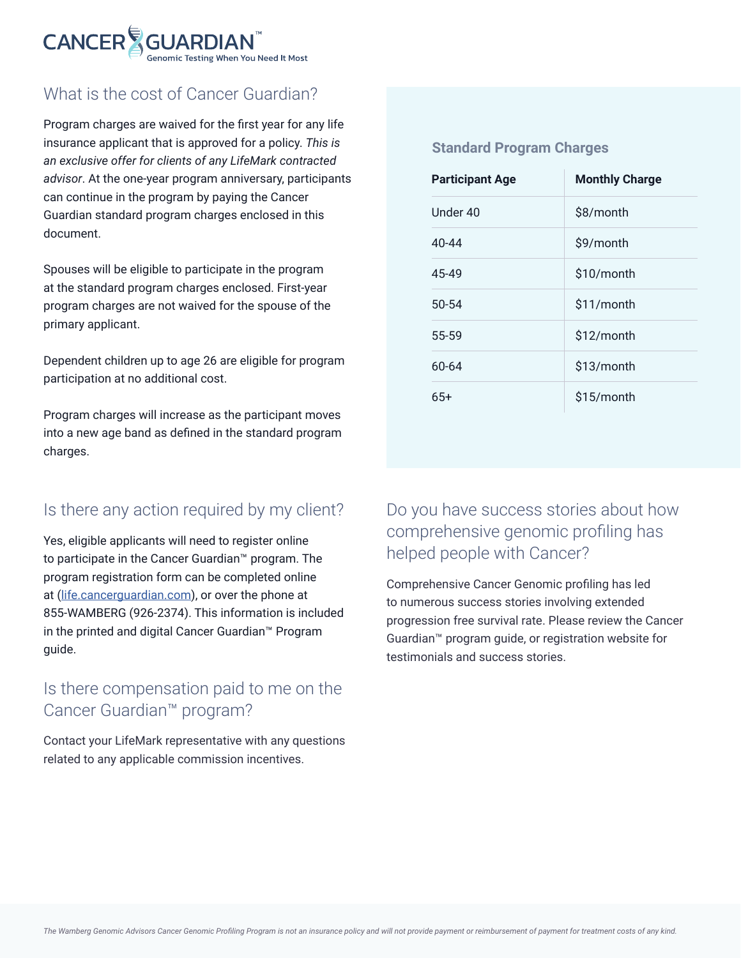

# What is the cost of Cancer Guardian?

Program charges are waived for the first year for any life insurance applicant that is approved for a policy. *This is an exclusive offer for clients of any LifeMark contracted advisor*. At the one-year program anniversary, participants can continue in the program by paying the Cancer Guardian standard program charges enclosed in this document.

Spouses will be eligible to participate in the program at the standard program charges enclosed. First-year program charges are not waived for the spouse of the primary applicant.

Dependent children up to age 26 are eligible for program participation at no additional cost.

Program charges will increase as the participant moves into a new age band as defined in the standard program charges.

## Is there any action required by my client?

Yes, eligible applicants will need to register online to participate in the Cancer Guardian™ program. The program registration form can be completed online at (life.cancerguardian.com), or over the phone at 855-WAMBERG (926-2374). This information is included in the printed and digital Cancer Guardian™ Program guide.

# Is there compensation paid to me on the Cancer Guardian™ program?

Contact your LifeMark representative with any questions related to any applicable commission incentives.

#### **Standard Program Charges**

| <b>Participant Age</b> | <b>Monthly Charge</b> |
|------------------------|-----------------------|
| Under 40               | \$8/month             |
| 40-44                  | \$9/month             |
| 45-49                  | \$10/month            |
| $50 - 54$              | \$11/month            |
| 55-59                  | \$12/month            |
| 60-64                  | \$13/month            |
| $65+$                  | \$15/month            |

# Do you have success stories about how comprehensive genomic profiling has helped people with Cancer?

Comprehensive Cancer Genomic profiling has led to numerous success stories involving extended progression free survival rate. Please review the Cancer Guardian™ program guide, or registration website for testimonials and success stories.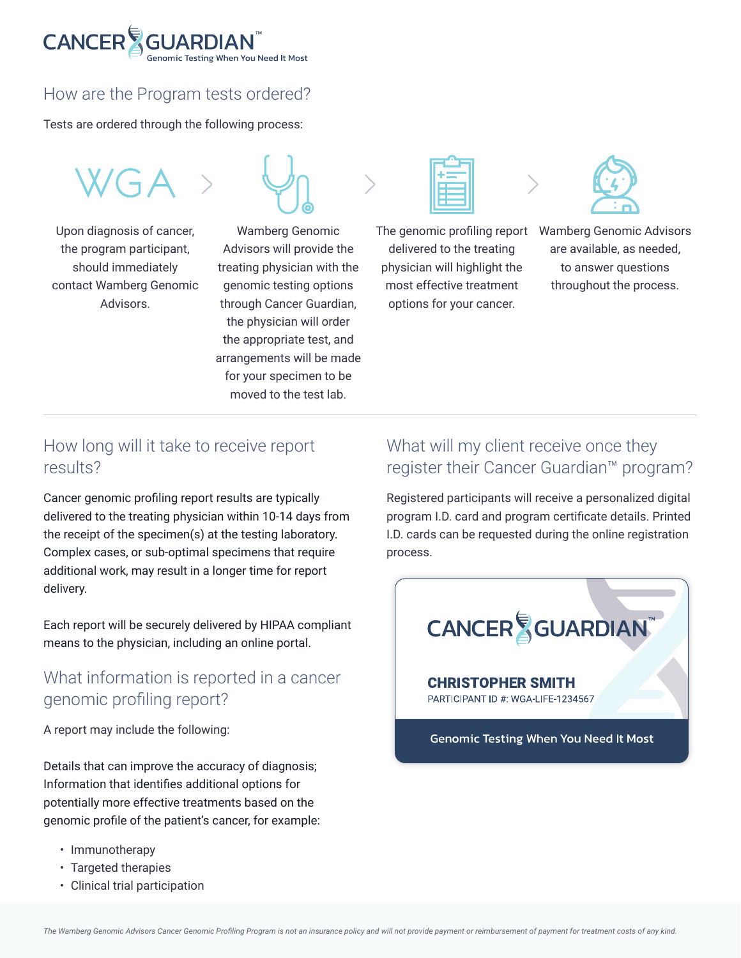

## How are the Program tests ordered?

Tests are ordered through the following process:

Upon diagnosis of cancer, the program participant, should immediately contact Wamberg Genomic Advisors.



Wamberg Genomic Advisors will provide the treating physician with the genomic testing options through Cancer Guardian, the physician will order the appropriate test, and arrangements will be made for your specimen to be moved to the test lab.

delivered to the treating physician will highlight the most effective treatment options for your cancer.



The genomic profiling report Wamberg Genomic Advisors are available, as needed, to answer questions throughout the process.

### How long will it take to receive report results?

Cancer genomic profiling report results are typically delivered to the treating physician within 10-14 days from the receipt of the specimen(s) at the testing laboratory. Complex cases, or sub-optimal specimens that require additional work, may result in a longer time for report delivery.

Each report will be securely delivered by HIPAA compliant means to the physician, including an online portal.

## What information is reported in a cancer genomic profiling report?

A report may include the following:

Details that can improve the accuracy of diagnosis; Information that identifies additional options for potentially more effective treatments based on the genomic profile of the patient's cancer, for example:

- Immunotherapy
- Targeted therapies
- Clinical trial participation

# What will my client receive once they register their Cancer Guardian™ program?

Registered participants will receive a personalized digital program I.D. card and program certificate details. Printed I.D. cards can be requested during the online registration process.

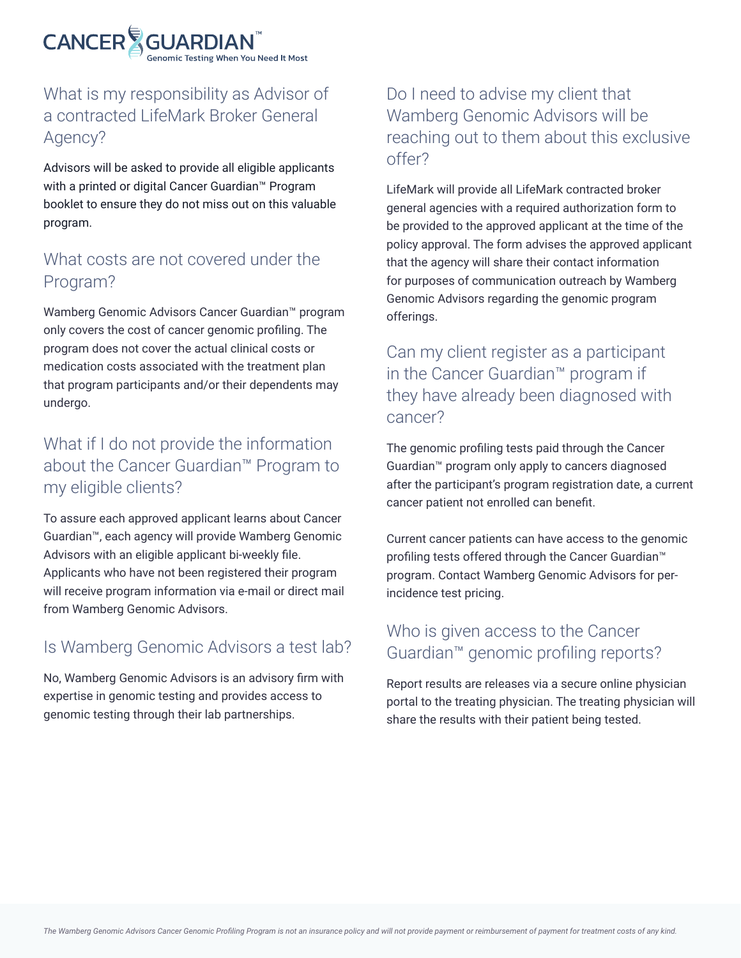

# What is my responsibility as Advisor of a contracted LifeMark Broker General Agency?

Advisors will be asked to provide all eligible applicants with a printed or digital Cancer Guardian™ Program booklet to ensure they do not miss out on this valuable program.

# What costs are not covered under the Program?

Wamberg Genomic Advisors Cancer Guardian™ program only covers the cost of cancer genomic profiling. The program does not cover the actual clinical costs or medication costs associated with the treatment plan that program participants and/or their dependents may undergo.

# What if I do not provide the information about the Cancer Guardian™ Program to my eligible clients?

To assure each approved applicant learns about Cancer Guardian™, each agency will provide Wamberg Genomic Advisors with an eligible applicant bi-weekly file. Applicants who have not been registered their program will receive program information via e-mail or direct mail from Wamberg Genomic Advisors.

# Is Wamberg Genomic Advisors a test lab?

No, Wamberg Genomic Advisors is an advisory firm with expertise in genomic testing and provides access to genomic testing through their lab partnerships.

# Do I need to advise my client that Wamberg Genomic Advisors will be reaching out to them about this exclusive offer?

LifeMark will provide all LifeMark contracted broker general agencies with a required authorization form to be provided to the approved applicant at the time of the policy approval. The form advises the approved applicant that the agency will share their contact information for purposes of communication outreach by Wamberg Genomic Advisors regarding the genomic program offerings.

# Can my client register as a participant in the Cancer Guardian™ program if they have already been diagnosed with cancer?

The genomic profiling tests paid through the Cancer Guardian™ program only apply to cancers diagnosed after the participant's program registration date, a current cancer patient not enrolled can benefit.

Current cancer patients can have access to the genomic profiling tests offered through the Cancer Guardian™ program. Contact Wamberg Genomic Advisors for perincidence test pricing.

# Who is given access to the Cancer Guardian™ genomic profiling reports?

Report results are releases via a secure online physician portal to the treating physician. The treating physician will share the results with their patient being tested.